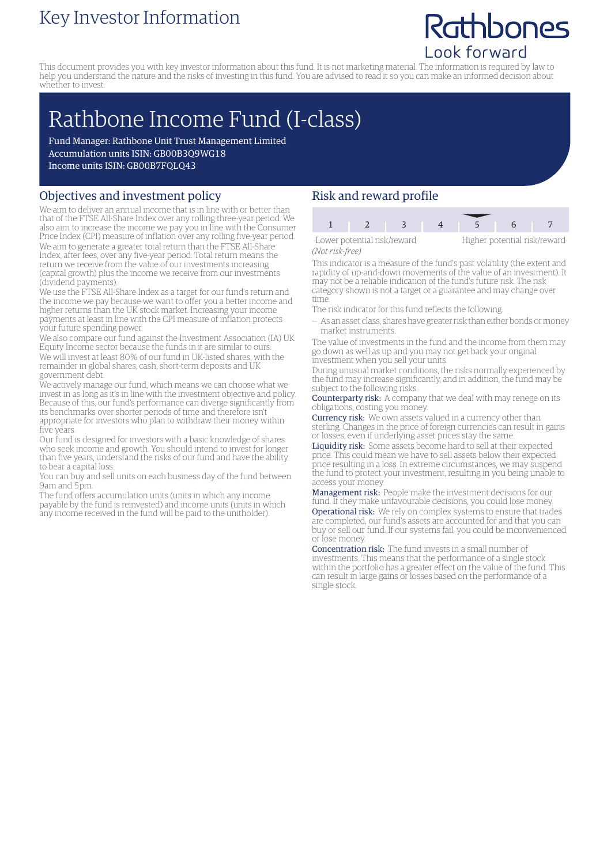### Key Investor Information

## Rathbones Look forward

This document provides you with key investor information about this fund. It is not marketing material. The information is required by law to help you understand the nature and the risks of investing in this fund. You are advised to read it so you can make an informed decision about whether to invest.

# Rathbone Income Fund (I-class)

Fund Manager: Rathbone Unit Trust Management Limited Accumulation units ISIN: GB00B3Q9WG18 Income units ISIN: GB00B7FQLQ43

#### Objectives and investment policy

We aim to deliver an annual income that is in line with or better than that of the FTSE All-Share Index over any rolling three-year period. We also aim to increase the income we pay you in line with the Consumer Price Index (CPI) measure of inflation over any rolling five-year period. We aim to generate a greater total return than the FTSE All-Share Index, after fees, over any five-year period. Total return means the return we receive from the value of our investments increasing (capital growth) plus the income we receive from our investments (dividend payments).

We use the FTSE All-Share Index as a target for our fund's return and the income we pay because we want to offer you a better income and higher returns than the UK stock market. Increasing your income payments at least in line with the CPI measure of inflation protects your future spending power.

We also compare our fund against the Investment Association (IA) UK Equity Income sector because the funds in it are similar to ours. We will invest at least 80% of our fund in UK-listed shares, with the remainder in global shares, cash, short-term deposits and UK government debt.

We actively manage our fund, which means we can choose what we invest in as long as it's in line with the investment objective and policy. Because of this, our fund's performance can diverge significantly from its benchmarks over shorter periods of time and therefore isn't appropriate for investors who plan to withdraw their money within five years.

Our fund is designed for investors with a basic knowledge of shares who seek income and growth. You should intend to invest for longer than five years, understand the risks of our fund and have the ability to bear a capital loss.

You can buy and sell units on each business day of the fund between 9am and 5pm.

The fund offers accumulation units (units in which any income payable by the fund is reinvested) and income units (units in which any income received in the fund will be paid to the unitholder).

#### Risk and reward profile

| Lower potential risk/reward |  |  | Higher potential risk/reward |  |  |
|-----------------------------|--|--|------------------------------|--|--|

*(Not risk-free)*

This indicator is a measure of the fund's past volatility (the extent and rapidity of up-and-down movements of the value of an investment). It may not be a reliable indication of the fund's future risk. The risk category shown is not a target or a guarantee and may change over

time. The risk indicator for this fund reflects the following:

— As an asset class, shares have greater risk than either bonds ormoney market instruments.

The value of investments in the fund and the income from them may go down as well as up and you may not get back your original investment when you sell your units.

During unusual market conditions, the risks normally experienced by the fund may increase significantly, and in addition, the fund may be subject to the following risks:

Counterparty risk: A company that we deal with may renege on its obligations, costing you money.

Currency risk: We own assets valued in a currency other than sterling. Changes in the price of foreign currencies can result in gains or losses, even if underlying asset prices stay the same.

Liquidity risk: Some assets become hard to sell at their expected price. This could mean we have to sell assets below their expected price resulting in a loss. In extreme circumstances, we may suspend the fund to protect your investment, resulting in you being unable to access your money.

Management risk: People make the investment decisions for our fund. If they make unfavourable decisions, you could lose money. Operational risk: We rely on complex systems to ensure that trades are completed, our fund's assets are accounted for and that you can buy or sell our fund. If our systems fail, you could be inconvenienced or lose money.

Concentration risk: The fund invests in a small number of investments. This means that the performance of a single stock within the portfolio has a greater effect on the value of the fund. This can result in large gains or losses based on the performance of a single stock.